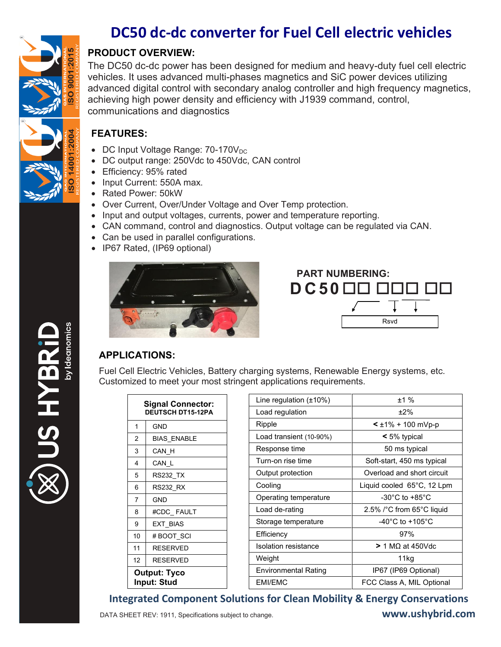

EAH SI

# **DC50 dc-dc converter for Fuel Cell electric vehicles**

## **PRODUCT OVERVIEW:**

The DC50 dc-dc power has been designed for medium and heavy-duty fuel cell electric vehicles. It uses advanced multi-phases magnetics and SiC power devices utilizing advanced digital control with secondary analog controller and high frequency magnetics, achieving high power density and efficiency with J1939 command, control, communications and diagnostics

#### **FEATURES:**

- $\bullet$  DC Input Voltage Range: 70-170 $V_{DC}$
- DC output range: 250Vdc to 450Vdc, CAN control
- **Efficiency: 95% rated**
- Input Current: 550A max.
- Rated Power: 50kW
- Over Current, Over/Under Voltage and Over Temp protection.
- Input and output voltages, currents, power and temperature reporting.
- CAN command, control and diagnostics. Output voltage can be regulated via CAN.
- Can be used in parallel configurations.
- IP67 Rated, (IP69 optional)



Rsvd  **PART NUMBERING: D C 5 0**

# **APPLICATIONS:**

Fuel Cell Electric Vehicles, Battery charging systems, Renewable Energy systems, etc. Customized to meet your most stringent applications requirements.

| <b>Signal Connector:</b><br><b>DEUTSCH DT15-12PA</b> |                    | Line regulation $(\pm 10\%)$ | ±1%                                                 |
|------------------------------------------------------|--------------------|------------------------------|-----------------------------------------------------|
|                                                      |                    | Load regulation              | $±2\%$                                              |
| 1                                                    | <b>GND</b>         | Ripple                       | $\leq \pm 1\% + 100$ mVp-p                          |
| 2                                                    | <b>BIAS ENABLE</b> | Load transient (10-90%)      | $<$ 5% typical                                      |
| 3                                                    | CAN H              | Response time                | 50 ms typical                                       |
| 4                                                    | CAN L              | Turn-on rise time            | Soft-start, 450 ms typical                          |
| 5                                                    | <b>RS232_TX</b>    | Output protection            | Overload and short circuit                          |
| 6                                                    | <b>RS232 RX</b>    | Cooling                      | Liquid cooled 65°C, 12 Lpm                          |
| $\overline{7}$                                       | <b>GND</b>         | Operating temperature        | -30 $^{\circ}$ C to +85 $^{\circ}$ C                |
| 8                                                    | #CDC FAULT         | Load de-rating               | 2.5% $\textdegree$ C from 65 $\textdegree$ C liquid |
| 9                                                    | <b>EXT BIAS</b>    | Storage temperature          | -40 $^{\circ}$ C to +105 $^{\circ}$ C               |
| 10                                                   | # BOOT SCI         | Efficiency                   | 97%                                                 |
| 11                                                   | <b>RESERVED</b>    | Isolation resistance         | $> 1 M\Omega$ at 450Vdc                             |
| 12 <sup>°</sup>                                      | <b>RESERVED</b>    | Weight                       | 11kg                                                |
| <b>Output: Tyco</b>                                  |                    | <b>Environmental Rating</b>  | IP67 (IP69 Optional)                                |
| <b>Input: Stud</b>                                   |                    | <b>EMI/EMC</b>               | FCC Class A, MIL Optional                           |

## **Integrated Component Solutions for Clean Mobility & Energy Conservations**

DATA SHEET REV: 1911, Specifications subject to change. **www.ushybrid.com**